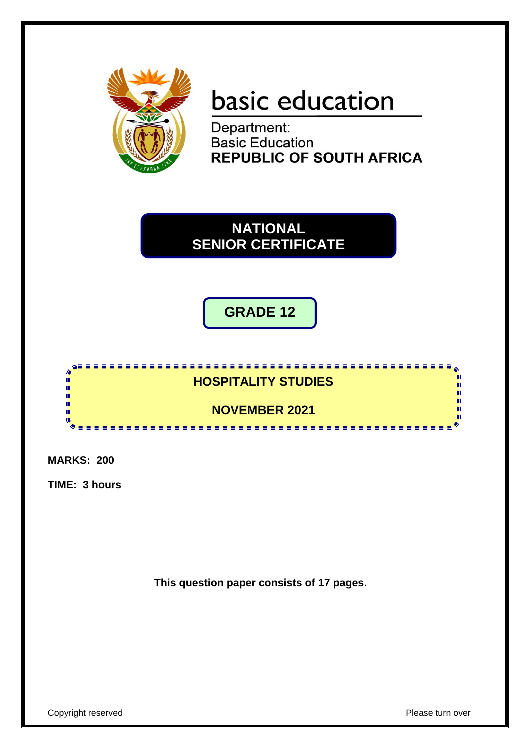

# basic education

Department:<br>Basic Education **REPUBLIC OF SOUTH AFRICA** 

**NATIONAL SENIOR CERTIFICATE**

**GRADE 12**



**MARKS: 200**

**TIME: 3 hours**

**This question paper consists of 17 pages.**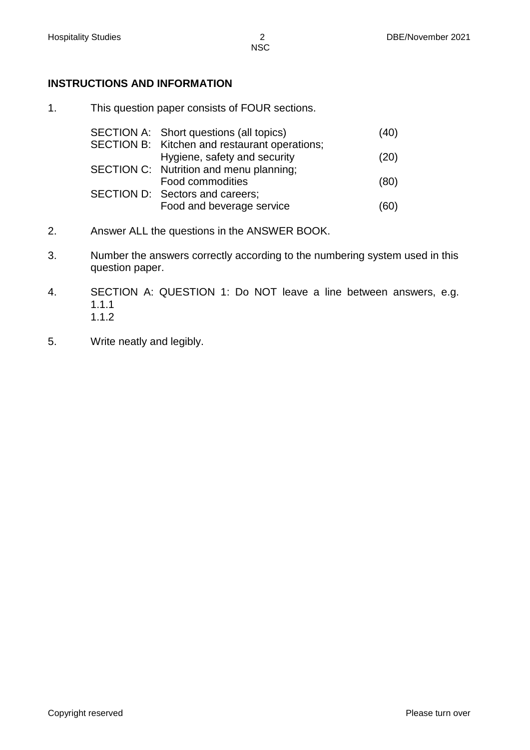# **INSTRUCTIONS AND INFORMATION**

1. This question paper consists of FOUR sections.

| SECTION A: Short questions (all topics)       | (40) |
|-----------------------------------------------|------|
| SECTION B: Kitchen and restaurant operations; |      |
| Hygiene, safety and security                  | (20) |
| SECTION C: Nutrition and menu planning;       |      |
| Food commodities                              | (80) |
| SECTION D: Sectors and careers;               |      |
| Food and beverage service                     | (60  |

- 2. Answer ALL the questions in the ANSWER BOOK.
- 3. Number the answers correctly according to the numbering system used in this question paper.
- 4. SECTION A: QUESTION 1: Do NOT leave a line between answers, e.g. 1.1.1 1.1.2
- 5. Write neatly and legibly.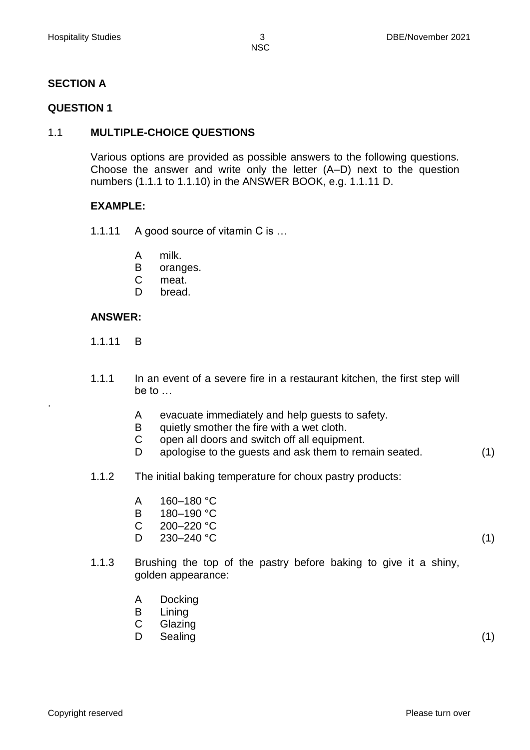# **SECTION A**

#### **QUESTION 1**

## 1.1 **MULTIPLE-CHOICE QUESTIONS**

Various options are provided as possible answers to the following questions. Choose the answer and write only the letter (A–D) next to the question numbers (1.1.1 to 1.1.10) in the ANSWER BOOK, e.g. 1.1.11 D.

#### **EXAMPLE:**

- 1.1.11 A good source of vitamin C is ...
	- A milk.
	- B oranges.
	- C meat.
	- D bread.

#### **ANSWER:**

1.1.11 B

.

- 1.1.1 In an event of a severe fire in a restaurant kitchen, the first step will be to …
	- A evacuate immediately and help guests to safety.
	- B quietly smother the fire with a wet cloth.
	- C open all doors and switch off all equipment.
	- D. apologise to the guests and ask them to remain seated. (1)
- 1.1.2 The initial baking temperature for choux pastry products:
	- A 160–180 °C
	- B 180–190 °C
	- C 200–220 °C
	- D.  $230-240 \text{ °C}$  (1)
- 1.1.3 Brushing the top of the pastry before baking to give it a shiny, golden appearance:
	- A Docking
	- B Lining
	- C Glazing
	- D Sealing (1) (1)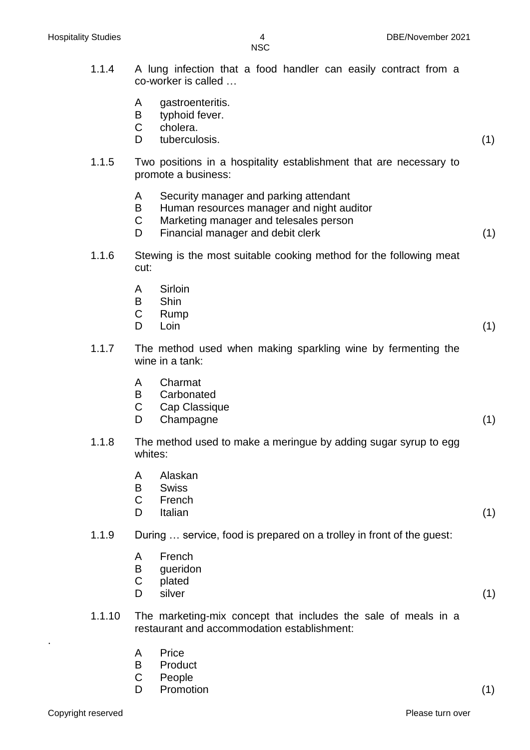- 1.1.4 A lung infection that a food handler can easily contract from a co-worker is called …
	- A gastroenteritis.
	- B typhoid fever.
	- C cholera.
	- D tuberculosis. (1)
- 1.1.5 Two positions in a hospitality establishment that are necessary to promote a business:
	- A Security manager and parking attendant
	- B Human resources manager and night auditor
	- $\mathcal{C}$ Marketing manager and telesales person
	- D. Financial manager and debit clerk (1)
- 1.1.6 Stewing is the most suitable cooking method for the following meat cut:
	- A **Sirloin**
	- B **Shin**
	- $\mathcal{C}$ Rump
	- D. Loin (1)
- 1.1.7 The method used when making sparkling wine by fermenting the wine in a tank:
	- A Charmat
	- B **Carbonated**
	- C Cap Classique
	- D. Champagne (1)
- 1.1.8 The method used to make a meringue by adding sugar syrup to egg whites:
	- A Alaskan
	- B **Swiss**
	- C French
	- D Italian (1)
- 1.1.9 During … service, food is prepared on a trolley in front of the guest:
	- A French
	- B gueridon
	- C plated
	- D. silver (1)
- 1.1.10 The marketing-mix concept that includes the sale of meals in a restaurant and accommodation establishment:
	- A **Price**
	- B **Product**
	- C People
	- D. Promotion (1)

.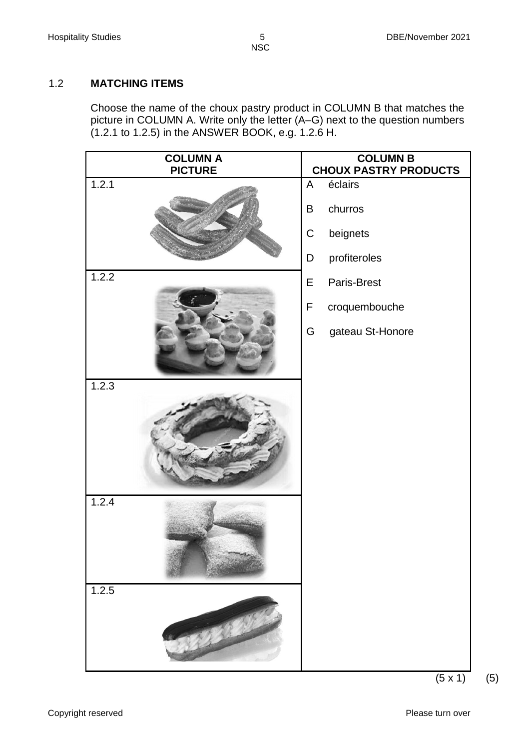# 1.2 **MATCHING ITEMS**

Choose the name of the choux pastry product in COLUMN B that matches the picture in COLUMN A. Write only the letter (A–G) next to the question numbers (1.2.1 to 1.2.5) in the ANSWER BOOK, e.g. 1.2.6 H.

| <b>COLUMN A</b><br><b>PICTURE</b> | <b>COLUMN B</b><br><b>CHOUX PASTRY PRODUCTS</b> |
|-----------------------------------|-------------------------------------------------|
| 1.2.1                             | $\mathsf{A}$<br>éclairs                         |
|                                   | churros<br>B                                    |
|                                   | $\mathsf C$<br>beignets                         |
|                                   | profiteroles<br>D                               |
| 1.2.2                             | E<br>Paris-Brest                                |
|                                   | $\mathsf F$<br>croquembouche                    |
|                                   | gateau St-Honore<br>G                           |
| 1.2.3                             |                                                 |
|                                   |                                                 |
| 1.2.4                             |                                                 |
| 1.2.5                             |                                                 |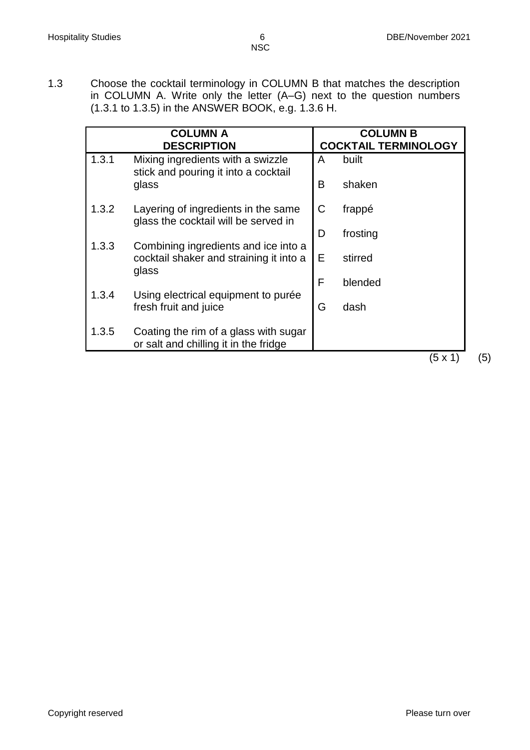- **NSC**
- 1.3 Choose the cocktail terminology in COLUMN B that matches the description in COLUMN A. Write only the letter (A–G) next to the question numbers (1.3.1 to 1.3.5) in the ANSWER BOOK, e.g. 1.3.6 H.

|       | <b>COLUMN A</b><br><b>DESCRIPTION</b>                                                    |   | <b>COLUMN B</b><br><b>COCKTAIL TERMINOLOGY</b> |
|-------|------------------------------------------------------------------------------------------|---|------------------------------------------------|
| 1.3.1 | Mixing ingredients with a swizzle<br>stick and pouring it into a cocktail                | A | built                                          |
|       | glass                                                                                    | B | shaken                                         |
| 1.3.2 | Layering of ingredients in the same<br>glass the cocktail will be served in              | C | frappé                                         |
|       |                                                                                          | D | frosting                                       |
| 1.3.3 | Combining ingredients and ice into a<br>cocktail shaker and straining it into a<br>glass | E | stirred                                        |
|       |                                                                                          | F | blended                                        |
| 1.3.4 | Using electrical equipment to purée<br>fresh fruit and juice                             | G | dash                                           |
| 1.3.5 | Coating the rim of a glass with sugar<br>or salt and chilling it in the fridge           |   |                                                |

 $(5 \times 1)$  (5)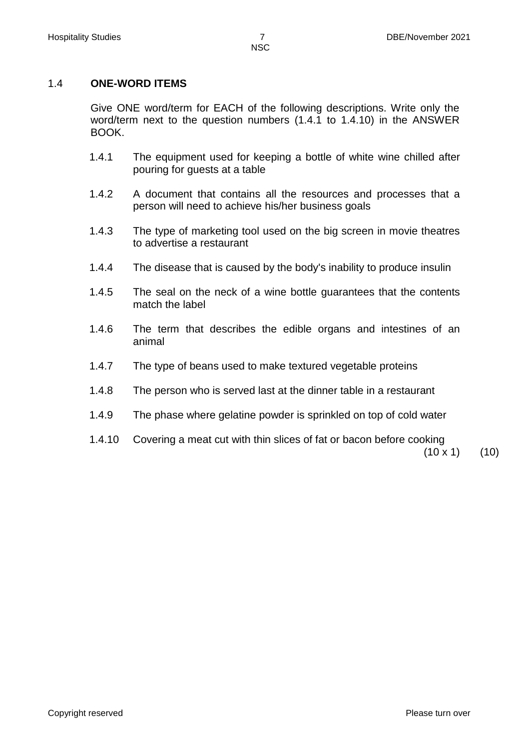# 1.4 **ONE-WORD ITEMS**

Give ONE word/term for EACH of the following descriptions. Write only the word/term next to the question numbers (1.4.1 to 1.4.10) in the ANSWER BOOK.

- 1.4.1 The equipment used for keeping a bottle of white wine chilled after pouring for guests at a table
- 1.4.2 A document that contains all the resources and processes that a person will need to achieve his/her business goals
- 1.4.3 The type of marketing tool used on the big screen in movie theatres to advertise a restaurant
- 1.4.4 The disease that is caused by the body's inability to produce insulin
- 1.4.5 The seal on the neck of a wine bottle guarantees that the contents match the label
- 1.4.6 The term that describes the edible organs and intestines of an animal
- 1.4.7 The type of beans used to make textured vegetable proteins
- 1.4.8 The person who is served last at the dinner table in a restaurant
- 1.4.9 The phase where gelatine powder is sprinkled on top of cold water
- 1.4.10 Covering a meat cut with thin slices of fat or bacon before cooking

 $(10 \times 1)$   $(10)$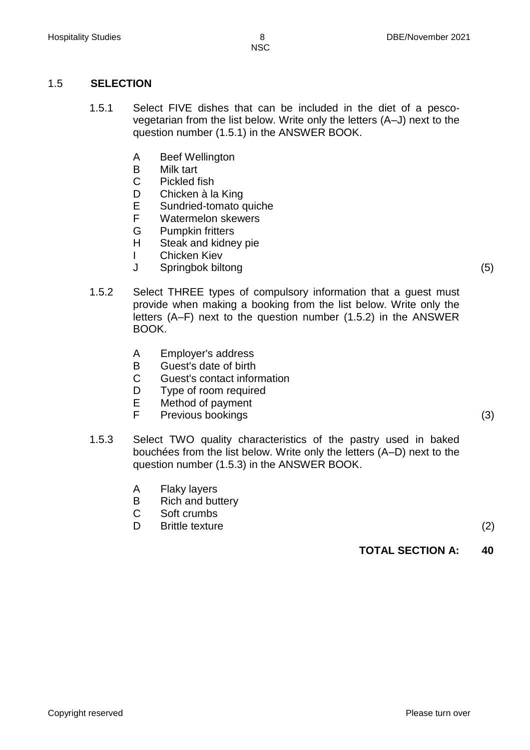## 1.5 **SELECTION**

- 1.5.1 Select FIVE dishes that can be included in the diet of a pescovegetarian from the list below. Write only the letters (A–J) next to the question number (1.5.1) in the ANSWER BOOK.
	- A Beef Wellington
	- B Milk tart
	- C Pickled fish
	- D Chicken à la King
	- E Sundried-tomato quiche
	- F Watermelon skewers
	- G Pumpkin fritters
	- H Steak and kidney pie
	- I Chicken Kiev
	- J Springbok biltong (5)
- 1.5.2 Select THREE types of compulsory information that a guest must provide when making a booking from the list below. Write only the letters (A–F) next to the question number (1.5.2) in the ANSWER BOOK.
	- A Employer's address
	- B Guest's date of birth
	- C Guest's contact information
	- D Type of room required
	- E Method of payment
	- F Previous bookings (3)
- 1.5.3 Select TWO quality characteristics of the pastry used in baked bouchées from the list below. Write only the letters (A–D) next to the question number (1.5.3) in the ANSWER BOOK.
	- A Flaky layers
	- B Rich and buttery
	- C Soft crumbs
	- D Brittle texture (2)

**TOTAL SECTION A: 40**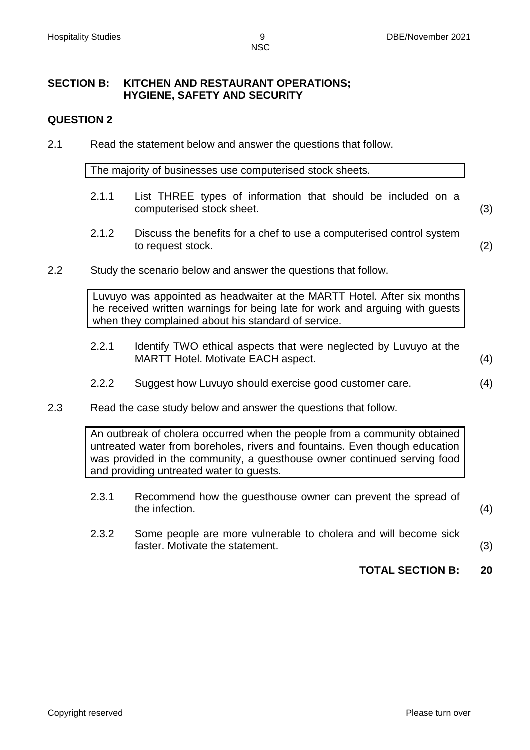#### **SECTION B: KITCHEN AND RESTAURANT OPERATIONS; HYGIENE, SAFETY AND SECURITY**

#### **QUESTION 2**

2.1 Read the statement below and answer the questions that follow.

The majority of businesses use computerised stock sheets.

- 2.1.1 List THREE types of information that should be included on a computerised stock sheet. (3)
- 2.1.2 Discuss the benefits for a chef to use a computerised control system to request stock. (2)
- 2.2 Study the scenario below and answer the questions that follow.

Luvuyo was appointed as headwaiter at the MARTT Hotel. After six months he received written warnings for being late for work and arguing with guests when they complained about his standard of service.

- 2.2.1 Identify TWO ethical aspects that were neglected by Luvuyo at the MARTT Hotel. Motivate EACH aspect. (4)
- 2.2.2 Suggest how Luvuyo should exercise good customer care. (4)
- 2.3 Read the case study below and answer the questions that follow.

An outbreak of cholera occurred when the people from a community obtained untreated water from boreholes, rivers and fountains. Even though education was provided in the community, a guesthouse owner continued serving food and providing untreated water to guests.

- 2.3.1 Recommend how the guesthouse owner can prevent the spread of the infection.  $(4)$ 
	-
- 2.3.2 Some people are more vulnerable to cholera and will become sick faster. Motivate the statement. (3)
	-
	- **TOTAL SECTION B: 20**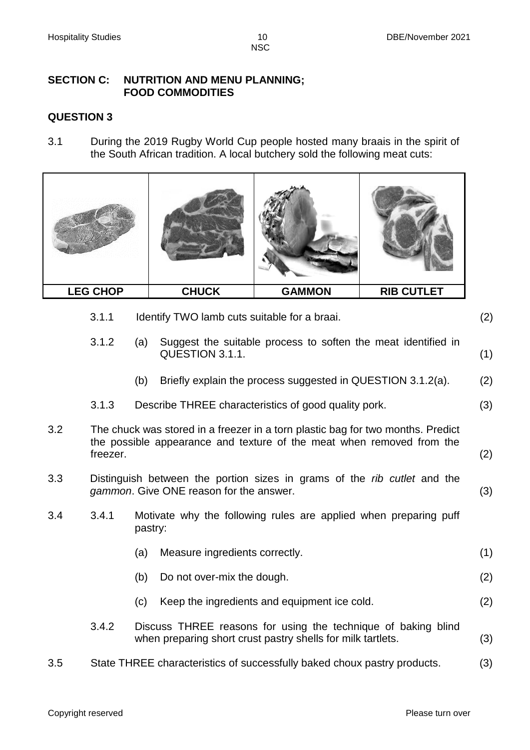#### **SECTION C: NUTRITION AND MENU PLANNING; FOOD COMMODITIES**

## **QUESTION 3**

3.1 During the 2019 Rugby World Cup people hosted many braais in the spirit of the South African tradition. A local butchery sold the following meat cuts:



- 3.1.1 Identify TWO lamb cuts suitable for a braai. (2)
- 3.1.2 (a) Suggest the suitable process to soften the meat identified in QUESTION 3.1.1. (1)
	- (b) Briefly explain the process suggested in QUESTION 3.1.2(a). (2)
- 3.1.3 Describe THREE characteristics of good quality pork. (3)
- 3.2 The chuck was stored in a freezer in a torn plastic bag for two months. Predict the possible appearance and texture of the meat when removed from the freezer. (2)
- 3.3 Distinguish between the portion sizes in grams of the *rib cutlet* and the *gammon*. Give ONE reason for the answer. (3)
- 3.4 3.4.1 Motivate why the following rules are applied when preparing puff pastry:
	- (a) Measure ingredients correctly. (1)
	- (b) Do not over-mix the dough. (2)
	- (c) Keep the ingredients and equipment ice cold. (2)
	- 3.4.2 Discuss THREE reasons for using the technique of baking blind when preparing short crust pastry shells for milk tartlets. (3)
- 3.5 State THREE characteristics of successfully baked choux pastry products. (3)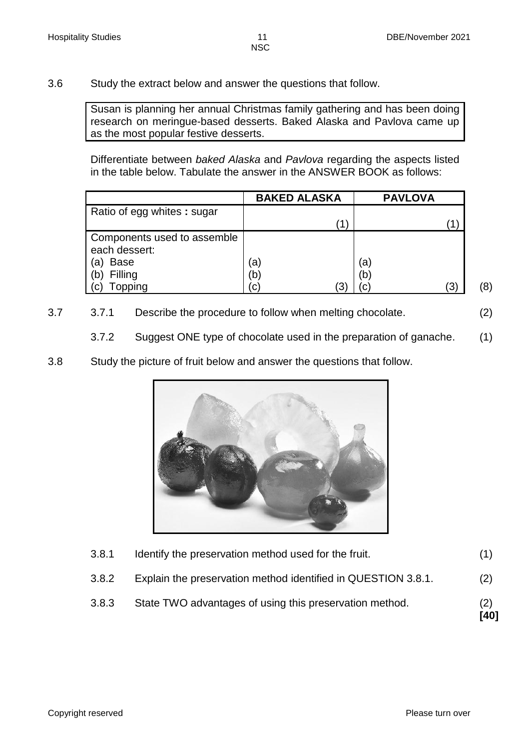3.6 Study the extract below and answer the questions that follow.

Susan is planning her annual Christmas family gathering and has been doing research on meringue-based desserts. Baked Alaska and Pavlova came up as the most popular festive desserts.

Differentiate between *baked Alaska* and *Pavlova* regarding the aspects listed in the table below. Tabulate the answer in the ANSWER BOOK as follows:

|                             | <b>BAKED ALASKA</b> | <b>PAVLOVA</b> |  |
|-----------------------------|---------------------|----------------|--|
| Ratio of egg whites: sugar  |                     |                |  |
|                             |                     |                |  |
| Components used to assemble |                     |                |  |
| each dessert:               |                     |                |  |
| <b>Base</b><br>(a)          | a)                  | a)             |  |
| Filling<br>(b)              | b.                  | (b             |  |
| opping<br>(C)               | .C'                 | '3)            |  |

3.7 3.7.1 Describe the procedure to follow when melting chocolate. (2)

3.7.2 Suggest ONE type of chocolate used in the preparation of ganache. (1)

3.8 Study the picture of fruit below and answer the questions that follow.



| 3.8.3 | State TWO advantages of using this preservation method.       | (2)<br>[40] |
|-------|---------------------------------------------------------------|-------------|
| 3.8.2 | Explain the preservation method identified in QUESTION 3.8.1. | (2)         |
| 3.8.1 | Identify the preservation method used for the fruit.          |             |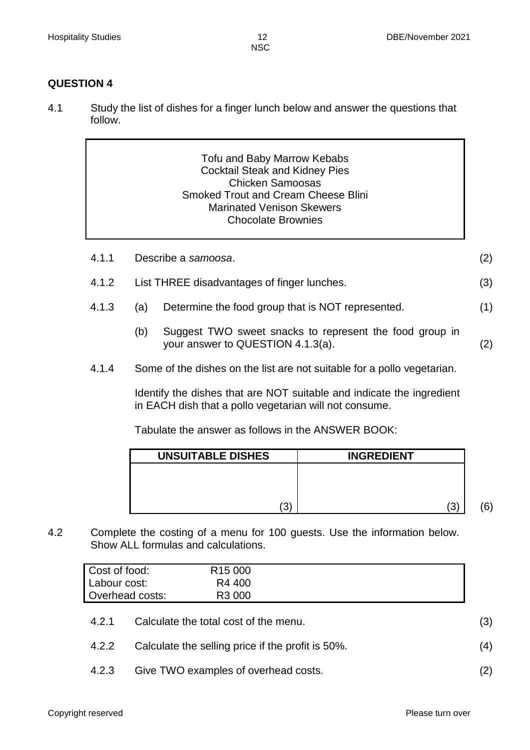## **QUESTION 4**

4.1 Study the list of dishes for a finger lunch below and answer the questions that follow.

| Tofu and Baby Marrow Kebabs                |
|--------------------------------------------|
| <b>Cocktail Steak and Kidney Pies</b>      |
| <b>Chicken Samoosas</b>                    |
| <b>Smoked Trout and Cream Cheese Blini</b> |
| <b>Marinated Venison Skewers</b>           |
| <b>Chocolate Brownies</b>                  |
|                                            |

| 4.1.1 | Describe a samoosa. |  |
|-------|---------------------|--|
|-------|---------------------|--|

- 4.1.2 List THREE disadvantages of finger lunches. (3)
- 4.1.3 (a) Determine the food group that is NOT represented. (1)
	- (b) Suggest TWO sweet snacks to represent the food group in your answer to QUESTION 4.1.3(a). (2)
- 4.1.4 Some of the dishes on the list are not suitable for a pollo vegetarian.

Identify the dishes that are NOT suitable and indicate the ingredient in EACH dish that a pollo vegetarian will not consume.

Tabulate the answer as follows in the ANSWER BOOK:

| <b>INGREDIENT</b> | <b>UNSUITABLE DISHES</b> |
|-------------------|--------------------------|
|                   |                          |
|                   |                          |
| '3)               | 3'                       |

4.2 Complete the costing of a menu for 100 guests. Use the information below. Show ALL formulas and calculations.

| Cost of food:   | R <sub>15</sub> 000 |  |
|-----------------|---------------------|--|
| I Labour cost:  | R4 400              |  |
| Overhead costs: | R <sub>3</sub> 000  |  |

- 4.2.1 Calculate the total cost of the menu. (3)
- 4.2.2 Calculate the selling price if the profit is 50%. (4)
- 4.2.3 Give TWO examples of overhead costs. (2)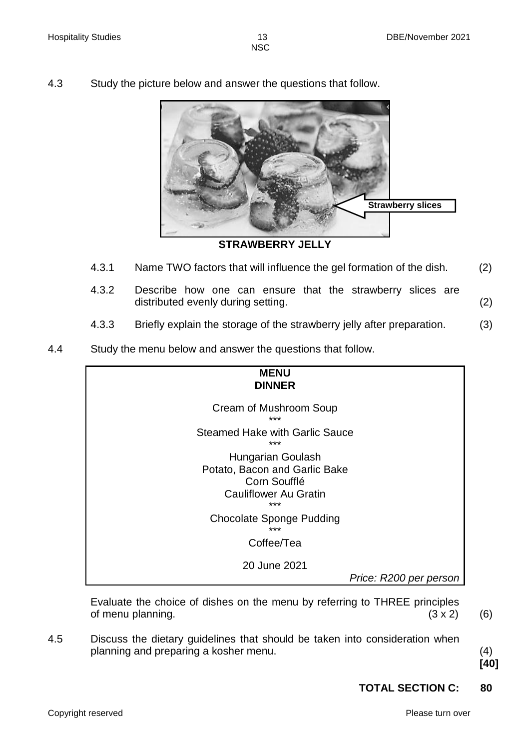4.3 Study the picture below and answer the questions that follow.



**STRAWBERRY JELLY**

- 4.3.1 Name TWO factors that will influence the gel formation of the dish. (2)
- 4.3.2 Describe how one can ensure that the strawberry slices are distributed evenly during setting. (2)
- 4.3.3 Briefly explain the storage of the strawberry jelly after preparation. (3)
- 4.4 Study the menu below and answer the questions that follow.



Evaluate the choice of dishes on the menu by referring to THREE principles of menu planning.  $(3 \times 2)$  (6)

4.5 Discuss the dietary guidelines that should be taken into consideration when planning and preparing a kosher menu. (4)

**[40]**

# **TOTAL SECTION C: 80**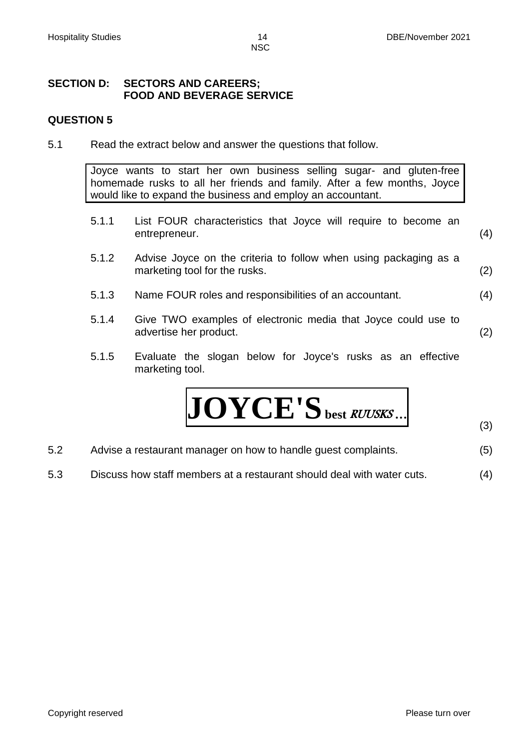#### **SECTION D: SECTORS AND CAREERS; FOOD AND BEVERAGE SERVICE**

#### **QUESTION 5**

5.1 Read the extract below and answer the questions that follow.

Joyce wants to start her own business selling sugar- and gluten-free homemade rusks to all her friends and family. After a few months, Joyce would like to expand the business and employ an accountant.

- 5.1.1 List FOUR characteristics that Joyce will require to become an entrepreneur. (4)
- 5.1.2 Advise Joyce on the criteria to follow when using packaging as a marketing tool for the rusks. (2)
- 5.1.3 Name FOUR roles and responsibilities of an accountant. (4)
- 5.1.4 Give TWO examples of electronic media that Joyce could use to advertise her product. (2)
- 5.1.5 Evaluate the slogan below for Joyce's rusks as an effective marketing tool.

$$
JOYCE'S_{\text{ best RUUSKS...}}
$$

(3)

- 5.2 Advise a restaurant manager on how to handle guest complaints. (5)
- 5.3 Discuss how staff members at a restaurant should deal with water cuts. (4)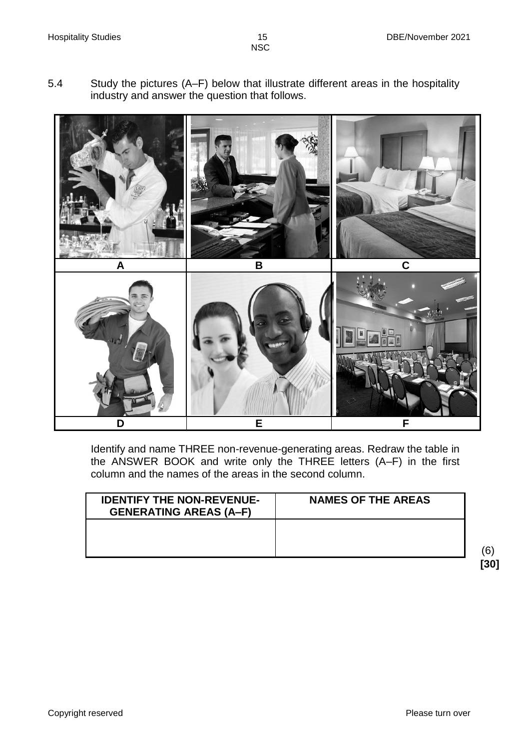5.4 Study the pictures (A–F) below that illustrate different areas in the hospitality industry and answer the question that follows.



Identify and name THREE non-revenue-generating areas. Redraw the table in the ANSWER BOOK and write only the THREE letters (A–F) in the first column and the names of the areas in the second column.

| <b>NAMES OF THE AREAS</b> |
|---------------------------|
|                           |
|                           |

 (6) **[30]**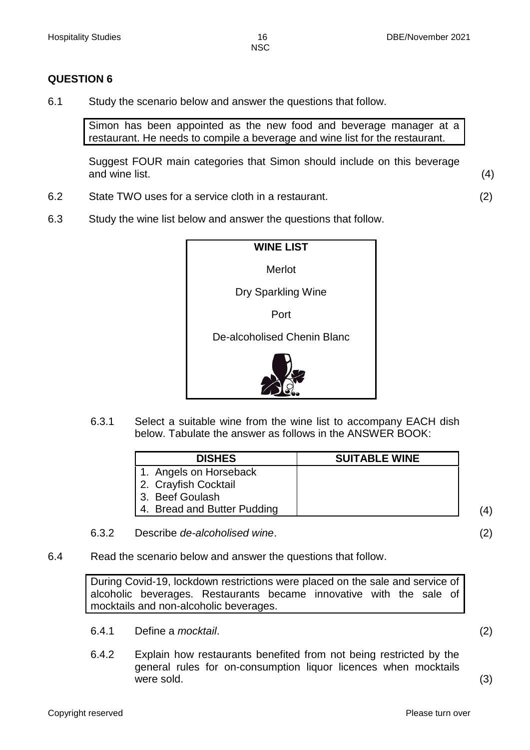## **QUESTION 6**

6.1 Study the scenario below and answer the questions that follow.

Simon has been appointed as the new food and beverage manager at a restaurant. He needs to compile a beverage and wine list for the restaurant.

Suggest FOUR main categories that Simon should include on this beverage and wine list. (4)

- 6.2 State TWO uses for a service cloth in a restaurant. (2)
- 6.3 Study the wine list below and answer the questions that follow.



6.3.1 Select a suitable wine from the wine list to accompany EACH dish below. Tabulate the answer as follows in the ANSWER BOOK:

| <b>DISHES</b>               | <b>SUITABLE WINE</b> |  |
|-----------------------------|----------------------|--|
| 1. Angels on Horseback      |                      |  |
| 2. Crayfish Cocktail        |                      |  |
| 3. Beef Goulash             |                      |  |
| 4. Bread and Butter Pudding |                      |  |

- 6.3.2 Describe *de-alcoholised wine*. (2)
- 6.4 Read the scenario below and answer the questions that follow.

During Covid-19, lockdown restrictions were placed on the sale and service of alcoholic beverages. Restaurants became innovative with the sale of mocktails and non-alcoholic beverages.

- 6.4.1 Define a *mocktail*. (2)
- 6.4.2 Explain how restaurants benefited from not being restricted by the general rules for on-consumption liquor licences when mocktails were sold. (3)